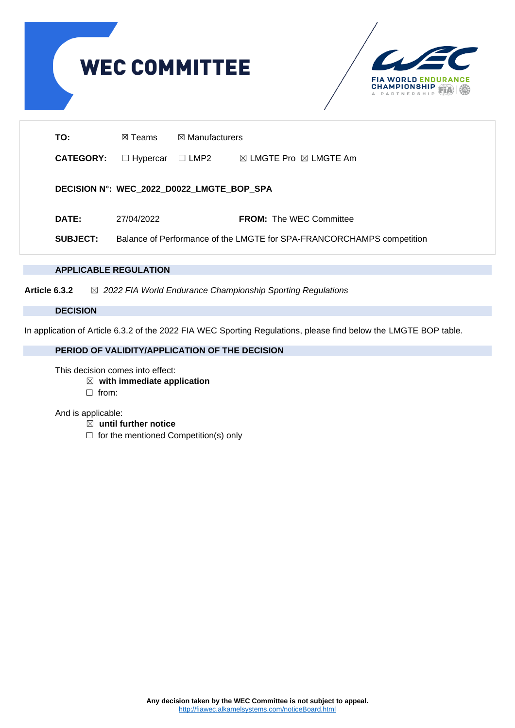



| TO:              | $\boxtimes$ Manufacturers<br>⊠ Teams |                                           |                                                                       |  |  |  |  |  |  |
|------------------|--------------------------------------|-------------------------------------------|-----------------------------------------------------------------------|--|--|--|--|--|--|
| <b>CATEGORY:</b> | $\Box$ Hypercar                      | $\Box$ LMP2                               | $\boxtimes$ LMGTE Pro $\boxtimes$ LMGTE Am                            |  |  |  |  |  |  |
|                  |                                      | DECISION N°: WEC_2022_D0022_LMGTE_BOP_SPA |                                                                       |  |  |  |  |  |  |
| <b>DATE:</b>     | 27/04/2022                           |                                           | <b>FROM:</b> The WEC Committee                                        |  |  |  |  |  |  |
| <b>SUBJECT:</b>  |                                      |                                           | Balance of Performance of the LMGTE for SPA-FRANCORCHAMPS competition |  |  |  |  |  |  |

## **APPLICABLE REGULATION**

**Article 6.3.2** ☒ *2022 FIA World Endurance Championship Sporting Regulations*

## **DECISION**

In application of Article 6.3.2 of the 2022 FIA WEC Sporting Regulations, please find below the LMGTE BOP table.

# **PERIOD OF VALIDITY/APPLICATION OF THE DECISION**

This decision comes into effect:

- ☒ **with immediate application**
- ☐ from:

And is applicable:

- ☒ **until further notice**
- ☐ for the mentioned Competition(s) only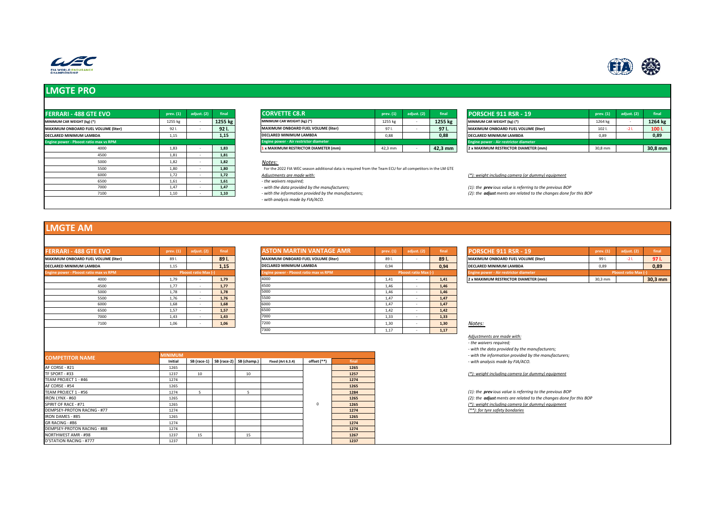



| <b>FERRARI - 488 GTE EVO</b>               | prev. (1) | adjust. (2) | final   | <b>CORVETTE C8.R</b>                                                                                          | prev. (1) | adjust. (2) | final   | <b>PORSCHE 911 RSR - 19</b>                       |  |  |
|--------------------------------------------|-----------|-------------|---------|---------------------------------------------------------------------------------------------------------------|-----------|-------------|---------|---------------------------------------------------|--|--|
| MINIMUM CAR WEIGHT (kg) (*)                | 1255 kg   |             | 1255 kg | MINIMUM CAR WEIGHT (kg) (*)                                                                                   | 1255 kg   |             | 1255 kg | MINIMUM CAR WEIGHT (kg) (*)                       |  |  |
| <b>MAXIMUM ONBOARD FUEL VOLUME (liter)</b> | 921.      |             | 921.    | MAXIMUM ONBOARD FUEL VOLUME (liter)                                                                           | 97 I.     |             | 97 I.   | MAXIMUM ONBOARD FUEL VOLUME (liter)               |  |  |
| <b>DECLARED MINIMUM LAMBDA</b>             | 1,15      |             | 1,15    | DECLARED MINIMUM LAMBDA                                                                                       | 0,88      |             | 0.88    | DECLARED MINIMUM LAMBDA                           |  |  |
| Engine power - Pboost ratio max vs RPM     |           |             |         | Engine power - Air restrictor diameter                                                                        |           |             |         | Engine power - Air restrictor diameter            |  |  |
| 4000                                       | 1,83      |             | 1.83    | 1 x MAXIMUM RESTRICTOR DIAMETER (mm)                                                                          | 42,3 mm   |             | 42,3 mm | 2 x MAXIMUM RESTRICTOR DIAMETER (mm)              |  |  |
| 4500                                       | 1.81      |             | 1,81    |                                                                                                               |           |             |         |                                                   |  |  |
| 5000                                       | 1,82      |             | 1,82    | Notes:                                                                                                        |           |             |         |                                                   |  |  |
| 5500                                       | 1,80      |             | 1,80    | For the 2022 FIA WEC season additional data is required from the Team ECU for all competitors in the LM GTE   |           |             |         |                                                   |  |  |
| 6000                                       | 1,72      |             | 1,72    | Adjustments are made with:                                                                                    |           |             |         | (*): weight including camera (or dummy) equipment |  |  |
| 6500                                       | 1,61      |             | 1,61    | - the waivers required;                                                                                       |           |             |         |                                                   |  |  |
| 7000                                       | 1,47      |             | 1,47    | $(1)$ : the previous value is referring to the previous B<br>- with the data provided by the manufacturers;   |           |             |         |                                                   |  |  |
| 7100                                       | 1,10      |             | 1,10    | (2): the adjust ments are related to the changes dor<br>- with the information provided by the manufacturers; |           |             |         |                                                   |  |  |
|                                            |           |             |         | - with analysis made by FIA/ACO.                                                                              |           |             |         |                                                   |  |  |

| <b>FERRARI - 488 GTE EVO</b>               | $prev. (1)$ ad | st. (2) | final   | <b>CORVETTE C8.R</b>                   | prev. (1) | final             | <b>PORSCHE 911 RSR - 19</b>            | prev. (1) | final             |
|--------------------------------------------|----------------|---------|---------|----------------------------------------|-----------|-------------------|----------------------------------------|-----------|-------------------|
| MINIMUM CAR WEIGHT (kg) (*)                | 1255 kg        |         | 1255 kg | MINIMUM CAR WEIGHT (kg) (*)            | 1255 kg   | 1255 kg           | MINIMUM CAR WEIGHT (kg) (*)            | 1264 kg   | 1264 k            |
| <b>MAXIMUM ONBOARD FUEL VOLUME (liter)</b> |                |         | 921     | MAXIMUM ONBOARD FUEL VOLUME (liter)    |           | 971.              | MAXIMUM ONBOARD FUEL VOLUME (liter)    | 102 l.    | 1001              |
| DECLARED MINIMUM LAMBDA                    | 1,15           |         | 1.15    | <b>DECLARED MINIMUM LAMBDA</b>         | 0,88      | 0.88              | DECLARED MINIMUM LAMBDA                | 0,89      | 0,89              |
| Engine power - Pboost ratio max vs RPM     |                |         |         | Engine power - Air restrictor diameter |           |                   | Engine power - Air restrictor diameter |           |                   |
| 4000                                       | 1,85           |         | 1.83    | 1 x MAXIMUM RESTRICTOR DIAMETER (mm)   | 42,3 mm   | $42.3 \text{ mm}$ | 2 x MAXIMUM RESTRICTOR DIAMETER (mm)   | 30,8 mm   | 30.8 <sub>m</sub> |

| <b>FERRARI - 488 GTE EVO</b>               | prev. $(1)$ | adiust. (2) | final   | <b>CORVETTE C8.R</b>                   | prev. $(1)$ | adjust. $(2)$ | final             | <b>PORSCHE 911 RSR - 19</b>            | prev. (1) | adiust. (2) | final     |
|--------------------------------------------|-------------|-------------|---------|----------------------------------------|-------------|---------------|-------------------|----------------------------------------|-----------|-------------|-----------|
| MINIMUM CAR WEIGHT (kg) (*)                | 1255 kg     |             | 1255 kg | MINIMUM CAR WEIGHT (kg) (*)            | 1255 kg     |               | 1255 kg           | MINIMUM CAR WEIGHT (kg) (*)            | 1264 k    |             | 1264 kg   |
| <b>MAXIMUM ONBOARD FUEL VOLUME (liter)</b> | 92          |             | 921.    | MAXIMUM ONBOARD FUEL VOLUME (liter)    | 971         |               | 971.              | MAXIMUM ONBOARD FUEL VOLUME (liter)    | 102 l.    |             | 1001.     |
| DECLARED MINIMUM LAMBDA                    | 1.15        |             | 1.15    | DECLARED MINIMUM LAMBDA                | 0,88        |               | 0.88              | DECLARED MINIMUM LAMBDA                | 0.89      |             | 0.89      |
| Engine power - Pboost ratio max vs RPM     |             |             |         | Engine power - Air restrictor diameter |             |               |                   | Engine power - Air restrictor diameter |           |             |           |
| 4000                                       | 1,83        |             | 1,83    | 1 x MAXIMUM RESTRICTOR DIAMETER (mm)   | 42,3 mm     |               | $42.3 \text{ mm}$ | 2 x MAXIMUM RESTRICTOR DIAMETER (mm)   | 30,8 mm   |             | $30.8$ mm |

7100 1,10 - **1,10** *- with the information provided by the manufacturers; (2): the adjust ments are related to the changes done for this BOP*

## **LMGTE AM**

| <b>FERRARI - 488 GTE EVO</b>               | prev. (1) | adjust. (2)                 | final |
|--------------------------------------------|-----------|-----------------------------|-------|
| <b>MAXIMUM ONBOARD FUEL VOLUME (liter)</b> | 89 I.     |                             | 89 I. |
| <b>DECLARED MINIMUM LAMBDA</b>             | 1,15      |                             | 1,15  |
| Engine power - Pboost ratio max vs RPM     |           | <b>Phoost ratio Max (-)</b> |       |
| 4000                                       | 1,79      |                             | 1,79  |
| 4500                                       | 1.77      |                             | 1,77  |
| 5000                                       | 1,78      |                             | 1,78  |
| 5500                                       | 1,76      |                             | 1,76  |
| 6000                                       | 1,68      |                             | 1,68  |
| 6500                                       | 1,57      |                             | 1,57  |
| 7000                                       | 1,43      |                             | 1,43  |
| 7100                                       | 1,06      |                             | 1,06  |

| <b>FERRARI - 488 GTE EVO</b>           | prev. (1) | adjust. (2)          | final | <b>ASTON MARTIN VANTAGE AMR</b>        | prev. (1) | adjust. (2)          | final | <b>PORSCHE 911 RSR - 19</b>                | prev. (1) | adjust. (2)                |  |
|----------------------------------------|-----------|----------------------|-------|----------------------------------------|-----------|----------------------|-------|--------------------------------------------|-----------|----------------------------|--|
| MAXIMUM ONBOARD FUEL VOLUME (liter)    | 89 I.     |                      | 891.  | MAXIMUM ONBOARD FUEL VOLUME (liter)    | 89 I.     |                      | 891.  | <b>MAXIMUM ONBOARD FUEL VOLUME (liter)</b> | 99 I.     | $-21.$                     |  |
| DECLARED MINIMUM LAMBDA                | 1,15      |                      | 1,15  | DECLARED MINIMUM LAMBDA                | 0.94      |                      | 0.94  | <b>DECLARED MINIMUM LAMBDA</b>             | 0,89      |                            |  |
| Engine power - Pboost ratio max vs RPM |           | Pboost ratio Max (-) |       | Engine power - Pboost ratio max vs RPM |           | Phoost ratio Max (-) |       | Engine power - Air restrictor diameter     |           | <b>Phoost ratio Max (-</b> |  |
| 4000                                   | 1,79      |                      | 1,79  | 4000                                   | 1,41      |                      | 1,41  | 2 x MAXIMUM RESTRICTOR DIAMETER (mm)       | 30,3 mm   |                            |  |
| 4500                                   | 1.77      |                      | 1,77  | 4500                                   | 1.46      |                      | 1.46  |                                            |           |                            |  |
| 5000                                   | 1.78      |                      | 1,78  |                                        | 1.46      |                      | 1.46  |                                            |           |                            |  |
| 5500                                   | 1.76      |                      | 1.76  | 5500                                   | 1.47      |                      | 1.47  |                                            |           |                            |  |
| 6000                                   | 1,68      |                      | 1,68  | 6000                                   | 1,47      |                      | 1.47  |                                            |           |                            |  |
| 6500                                   | 1.57      |                      | 1,57  |                                        | 1.42      |                      | 1.42  |                                            |           |                            |  |
| 7000                                   | 1.43      |                      | 1.43  | 7000                                   | 1.33      |                      | 1.33  |                                            |           |                            |  |
| 7100                                   | 1,06      |                      | 1,06  | 7200                                   | 1.30      |                      | 1.30  | Notes:                                     |           |                            |  |
|                                        |           |                      |       |                                        | 1.17      |                      | 1.17  |                                            |           |                            |  |

| <b>FERRARI - 488 GTE EVO</b>                  | prev. (1)      | adjust. (2)                | final |                                     | <b>ASTON MARTIN VANTAGE AMR</b>        |             |       | prev. (1) | adjust. (2)          | final | <b>PORSCHE 911 RSR - 19</b>                                                                                                        | prev. (1) | adjust. (2)          | final     |
|-----------------------------------------------|----------------|----------------------------|-------|-------------------------------------|----------------------------------------|-------------|-------|-----------|----------------------|-------|------------------------------------------------------------------------------------------------------------------------------------|-----------|----------------------|-----------|
| MAXIMUM ONBOARD FUEL VOLUME (liter)           | 89 I.          | $\sim$                     | 891.  |                                     | MAXIMUM ONBOARD FUEL VOLUME (liter)    |             |       | 89 I.     |                      | 891.  | MAXIMUM ONBOARD FUEL VOLUME (liter)                                                                                                | 99 I.     | $-21$ .              | 97 I.     |
| DECLARED MINIMUM LAMBDA                       | 1,15           |                            | 1,15  |                                     | <b>DECLARED MINIMUM LAMBDA</b>         |             |       | 0.94      |                      | 0,94  | <b>DECLARED MINIMUM LAMBDA</b>                                                                                                     | 0,89      |                      | 0,89      |
| <b>Engine power - Pboost ratio max vs RPM</b> |                | <b>Phoost ratio Max (-</b> |       |                                     | Ingine power - Pboost ratio max vs RPM |             |       |           | Pboost ratio Max (-) |       | Engine power - Air restrictor diameter                                                                                             |           | Phoost ratio Max (-) |           |
| 4000                                          | 1,79           |                            | 1,79  |                                     | 4000                                   |             |       | 1,41      |                      | 1,41  | 2 x MAXIMUM RESTRICTOR DIAMETER (mm)                                                                                               | 30,3 mm   |                      | $30,3$ mm |
| 4500                                          | 1,77           | $\sim$                     | 1.77  |                                     | 4500                                   |             |       | 1.46      |                      | 1,46  |                                                                                                                                    |           |                      |           |
| 5000                                          | 1,78           | $\sim$                     | 1,78  |                                     | 5000                                   |             |       | 1.46      | $\sim$               | 1,46  |                                                                                                                                    |           |                      |           |
| 5500                                          | 1,76           | $\sim$                     | 1,76  |                                     | 5500                                   |             |       | 1,47      |                      | 1,47  |                                                                                                                                    |           |                      |           |
| 6000                                          | 1,68           | $\sim$                     | 1,68  |                                     | 6000                                   |             |       | 1,47      |                      | 1,47  |                                                                                                                                    |           |                      |           |
| 6500                                          | 1,57           | $\sim$                     | 1,57  |                                     | 6500                                   |             |       | 1,42      |                      | 1,42  |                                                                                                                                    |           |                      |           |
| 7000                                          | 1,43           | $\sim$                     | 1,43  |                                     | 7000                                   |             |       | 1,33      |                      | 1,33  |                                                                                                                                    |           |                      |           |
| 7100                                          | 1,06           | $\sim$                     | 1,06  |                                     | 7200                                   |             |       | 1,30      |                      | 1,30  | Notes:                                                                                                                             |           |                      |           |
|                                               |                |                            |       |                                     | 7300                                   |             |       | 1,17      | $\sim$               | 1,17  |                                                                                                                                    |           |                      |           |
|                                               | <b>MINIMUM</b> |                            |       |                                     |                                        |             |       |           |                      |       | - the waivers required;<br>- with the data provided by the manufacturers;<br>- with the information provided by the manufacturers; |           |                      |           |
| <b>COMPETITOR NAME</b>                        | Initial        |                            |       | SB (race-1) SB (race-2) SB (champ.) | <b>Fixed (Art 6.3.4)</b>               | offset (**) | final |           |                      |       | - with analysis made by FIA/ACO.                                                                                                   |           |                      |           |
| AF CORSE - #21                                | 1265           |                            |       |                                     |                                        |             | 1265  |           |                      |       |                                                                                                                                    |           |                      |           |
| TF SPORT - #33                                | 1237           | 10                         |       | 10                                  |                                        |             | 1257  |           |                      |       | (*): weight including camera (or dummy) equipment                                                                                  |           |                      |           |
| TEAM PROJECT 1 - #46                          | 1274           |                            |       |                                     |                                        |             | 1274  |           |                      |       |                                                                                                                                    |           |                      |           |
| AF CORSE - #54                                | 1265           |                            |       |                                     |                                        |             | 1265  |           |                      |       |                                                                                                                                    |           |                      |           |
| TEAM PROJECT 1 - #56                          | 1274           | -5                         |       | $\overline{\phantom{a}}$            |                                        |             | 1284  |           |                      |       | (1): the previous value is referring to the previous BOP                                                                           |           |                      |           |
| <b>IRON LYNX - #60</b>                        | 1265           |                            |       |                                     |                                        |             | 1265  |           |                      |       | (2): the adjust ments are related to the changes done for this BOP                                                                 |           |                      |           |
| SPIRIT OF RACE - #71                          | 1265           |                            |       |                                     |                                        | n           | 1265  |           |                      |       | (*): weight including camera (or dummy) equipment                                                                                  |           |                      |           |
| DEMPSEY-PROTON RACING - #77                   | 1274           |                            |       |                                     |                                        |             | 1274  |           |                      |       | (**): for tyre safety bondaries                                                                                                    |           |                      |           |
| <b>IRON DAMES - #85</b>                       | 1265           |                            |       |                                     |                                        |             | 1265  |           |                      |       |                                                                                                                                    |           |                      |           |
| GR RACING - #86                               | 1274           |                            |       |                                     |                                        |             | 1274  |           |                      |       |                                                                                                                                    |           |                      |           |
| DEMPSEY-PROTON RACING - #88                   | 1274           |                            |       |                                     |                                        |             | 1274  |           |                      |       |                                                                                                                                    |           |                      |           |
| NORTHWEST AMR - #98                           | 1237           | 15                         |       | 15                                  |                                        |             | 1267  |           |                      |       |                                                                                                                                    |           |                      |           |
| D'STATION RACING - #777                       | 1237           |                            |       |                                     |                                        |             | 1237  |           |                      |       |                                                                                                                                    |           |                      |           |

| <b>MINIMUM</b><br><b>COMPETITOR NAME</b> |      |    |                                     |                          |             | - with the information provided by the manufacturers; |                                                              |
|------------------------------------------|------|----|-------------------------------------|--------------------------|-------------|-------------------------------------------------------|--------------------------------------------------------------|
|                                          |      |    | SB (race-1) SB (race-2) SB (champ.) | <b>Fixed (Art 6.3.4)</b> | offset (**) | final                                                 | - with analysis made by FIA/ACO.                             |
| AF CORSE - #21                           | 1265 |    |                                     |                          |             | 1265                                                  |                                                              |
| TF SPORT - #33                           | 1237 | 10 | 10                                  |                          |             | 1257                                                  | (*): weight including camera (or dummy) equipment            |
| TEAM PROJECT 1 - #46                     | 1274 |    |                                     |                          |             | 1274                                                  |                                                              |
| AF CORSE - #54                           | 1265 |    |                                     |                          |             | 1265                                                  |                                                              |
| TEAM PROJECT 1 - #56                     | 1274 |    |                                     |                          |             | 1284                                                  | (1): the previous value is referring to the previous BO.     |
| <b>IRON LYNX - #60</b>                   | 1265 |    |                                     |                          |             | 1265                                                  | (2): the <b>adjust</b> ments are related to the changes done |
| SPIRIT OF RACE - #71                     | 1265 |    |                                     |                          |             | 1265                                                  | (*): weight including camera (or dummy) equipment            |
| DEMPSEY-PROTON RACING - #77              | 1274 |    |                                     |                          |             | 1274                                                  | (**): for tyre safety bondaries                              |
| <b>IRON DAMES - #85</b>                  | 1265 |    |                                     |                          |             | 1265                                                  |                                                              |
| GR RACING - #86                          | 1274 |    |                                     |                          |             | 1274                                                  |                                                              |
| DEMPSEY-PROTON RACING - #88              | 1274 |    |                                     |                          |             | 1274                                                  |                                                              |
| NORTHWEST AMR - #98                      | 1237 | 15 | 15                                  |                          |             | 1267                                                  |                                                              |
| <b>D'STATION RACING - #777</b>           | 1237 |    |                                     |                          |             | 1237                                                  |                                                              |